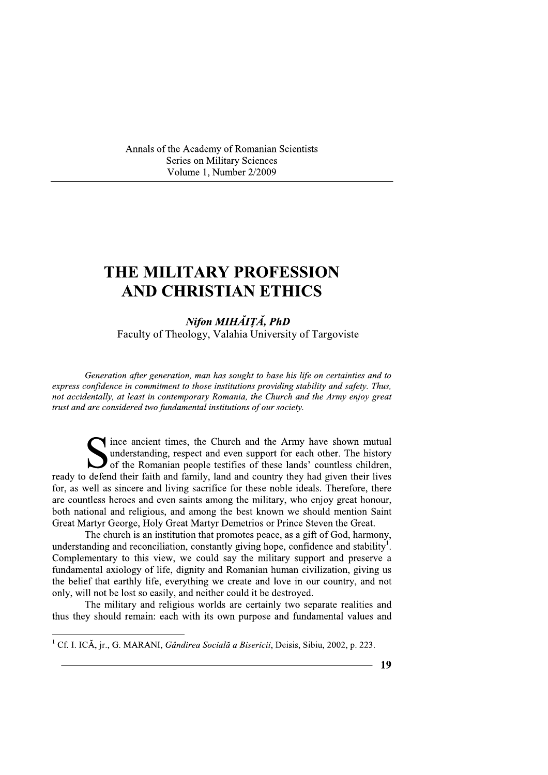Annals of the Academy of Romanian Scientists **Series on Military Sciences** Volume 1, Number 2/2009

# THE MILITARY PROFESSION **AND CHRISTIAN ETHICS**

Nifon MIHĂIȚĂ, PhD Faculty of Theology, Valahia University of Targoviste

Generation after generation, man has sought to base his life on certainties and to express confidence in commitment to those institutions providing stability and safety. Thus, not accidentally, at least in contemporary Romania, the Church and the Army enjoy great trust and are considered two fundamental institutions of our society.

since ancient times, the Church and the Army have shown mutual understanding, respect and even support for each other. The history of the Romanian people testifies of these lands' countless children, ready to defend their faith and family, land and country they had given their lives for, as well as sincere and living sacrifice for these noble ideals. Therefore, there are countless heroes and even saints among the military, who enjoy great honour, both national and religious, and among the best known we should mention Saint Great Martyr George, Holy Great Martyr Demetrios or Prince Steven the Great.

The church is an institution that promotes peace, as a gift of God, harmony, understanding and reconciliation, constantly giving hope, confidence and stability<sup>1</sup>. Complementary to this view, we could say the military support and preserve a fundamental axiology of life, dignity and Romanian human civilization, giving us the belief that earthly life, everything we create and love in our country, and not only, will not be lost so easily, and neither could it be destroyed.

The military and religious worlds are certainly two separate realities and thus they should remain: each with its own purpose and fundamental values and

<sup>&</sup>lt;sup>1</sup> Cf. I. ICĂ, jr., G. MARANI, *Gândirea Socială a Bisericii*, Deisis, Sibiu, 2002, p. 223.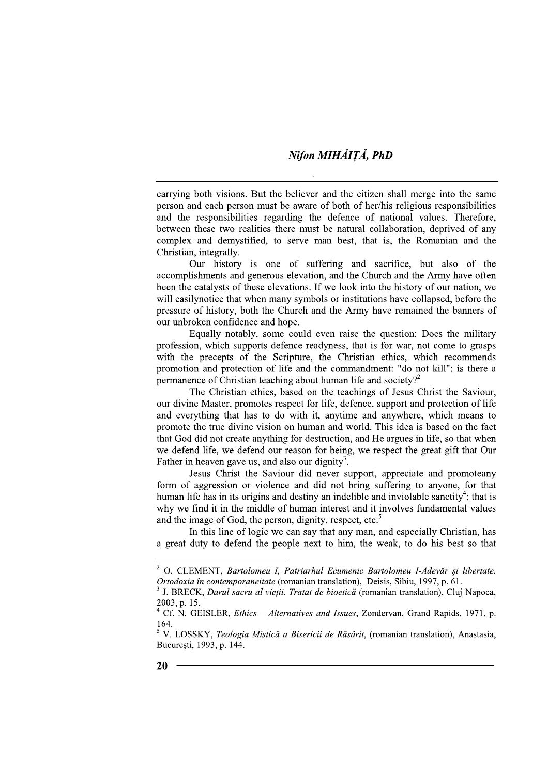### Nifon MIHĂIȚĂ, PhD

carrying both visions. But the believer and the citizen shall merge into the same person and each person must be aware of both of her/his religious responsibilities and the responsibilities regarding the defence of national values. Therefore, between these two realities there must be natural collaboration, deprived of any complex and demystified, to serve man best, that is, the Romanian and the Christian, integrally.

Our history is one of suffering and sacrifice, but also of the accomplishments and generous elevation, and the Church and the Army have often been the catalysts of these elevations. If we look into the history of our nation, we will easilynotice that when many symbols or institutions have collapsed, before the pressure of history, both the Church and the Army have remained the banners of our unbroken confidence and hope.

Equally notably, some could even raise the question: Does the military profession, which supports defence readyness, that is for war, not come to grasps with the precepts of the Scripture, the Christian ethics, which recommends promotion and protection of life and the commandment: "do not kill"; is there a permanence of Christian teaching about human life and society?<sup>2</sup>

The Christian ethics, based on the teachings of Jesus Christ the Saviour, our divine Master, promotes respect for life, defence, support and protection of life and everything that has to do with it, anytime and anywhere, which means to promote the true divine vision on human and world. This idea is based on the fact that God did not create anything for destruction, and He argues in life, so that when we defend life, we defend our reason for being, we respect the great gift that Our Father in heaven gave us, and also our dignity<sup>3</sup>.

Jesus Christ the Saviour did never support, appreciate and promoteany form of aggression or violence and did not bring suffering to anyone, for that human life has in its origins and destiny an indelible and inviolable sanctity<sup>4</sup>; that is why we find it in the middle of human interest and it involves fundamental values and the image of God, the person, dignity, respect, etc.<sup>5</sup>

In this line of logic we can say that any man, and especially Christian, has a great duty to defend the people next to him, the weak, to do his best so that

 $\,2\,$ O. CLEMENT, Bartolomeu I. Patriarhul Ecumenic Bartolomeu I-Adevăr și libertate. Ortodoxia în contemporaneitate (romanian translation), Deisis, Sibiu, 1997, p. 61.

<sup>&</sup>lt;sup>3</sup> J. BRECK. *Darul sacru al vietii. Tratat de bioetică* (romanian translation). Clui-Napoca. 2003. p. 15.

<sup>&</sup>lt;sup>4</sup> Cf. N. GEISLER, *Ethics - Alternatives and Issues*, Zondervan, Grand Rapids, 1971, p. 164.

<sup>&</sup>lt;sup>5</sup> V. LOSSKY, Teologia Mistică a Bisericii de Răsărit, (romanian translation), Anastasia, București, 1993, p. 144.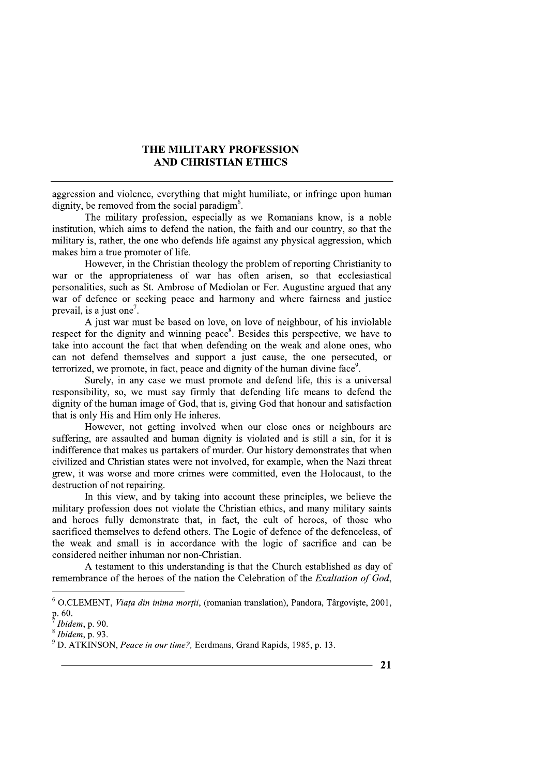### THE MILITARY PROFESSION **AND CHRISTIAN ETHICS**

aggression and violence, everything that might humiliate, or infringe upon human dignity, be removed from the social paradigm<sup>6</sup>.

The military profession, especially as we Romanians know, is a noble institution, which aims to defend the nation, the faith and our country, so that the military is, rather, the one who defends life against any physical aggression, which makes him a true promoter of life.

However, in the Christian theology the problem of reporting Christianity to war or the appropriateness of war has often arisen, so that ecclesiastical personalities, such as St. Ambrose of Mediolan or Fer. Augustine argued that any war of defence or seeking peace and harmony and where fairness and justice prevail, is a just one<sup>7</sup>.

A just war must be based on love, on love of neighbour, of his inviolable respect for the dignity and winning peace<sup>8</sup>. Besides this perspective, we have to take into account the fact that when defending on the weak and alone ones, who can not defend themselves and support a just cause, the one persecuted, or terrorized, we promote, in fact, peace and dignity of the human divine face<sup>9</sup>.

Surely, in any case we must promote and defend life, this is a universal responsibility, so, we must say firmly that defending life means to defend the dignity of the human image of God, that is, giving God that honour and satisfaction that is only His and Him only He inheres.

However, not getting involved when our close ones or neighbours are suffering, are assaulted and human dignity is violated and is still a sin, for it is indifference that makes us partakers of murder. Our history demonstrates that when civilized and Christian states were not involved, for example, when the Nazi threat grew, it was worse and more crimes were committed, even the Holocaust, to the destruction of not repairing.

In this view, and by taking into account these principles, we believe the military profession does not violate the Christian ethics, and many military saints and heroes fully demonstrate that, in fact, the cult of heroes, of those who sacrificed themselves to defend others. The Logic of defence of the defenceless, of the weak and small is in accordance with the logic of sacrifice and can be considered neither inhuman nor non-Christian.

A testament to this understanding is that the Church established as day of remembrance of the heroes of the nation the Celebration of the Exaltation of God,

 $6$  O.CLEMENT, *Viata din inima morții*, (romanian translation), Pandora, Târgoviște, 2001, p. 60.

Ibidem, p. 90.

 $8$  Ibidem, p. 93.

<sup>&</sup>lt;sup>9</sup> D. ATKINSON, Peace in our time?, Eerdmans, Grand Rapids, 1985, p. 13.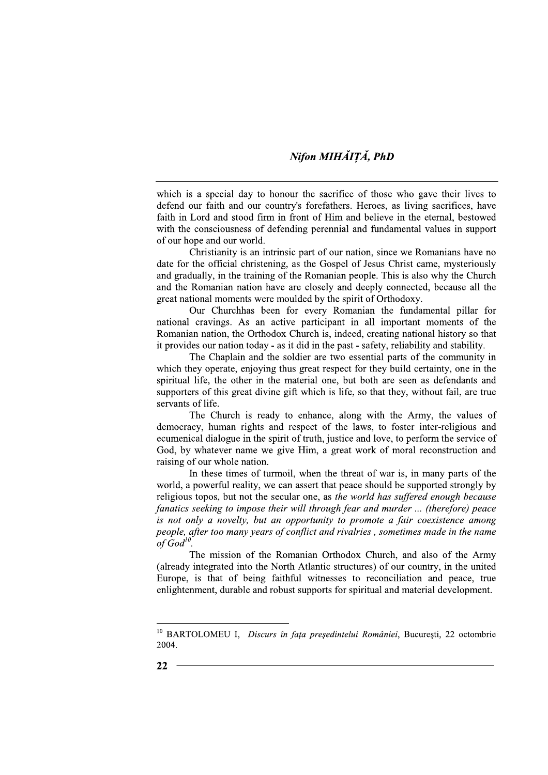## Nifon MIHĂITĂ, PhD

which is a special day to honour the sacrifice of those who gave their lives to defend our faith and our country's forefathers. Heroes, as living sacrifices, have faith in Lord and stood firm in front of Him and believe in the eternal, bestowed with the consciousness of defending perennial and fundamental values in support of our hope and our world.

Christianity is an intrinsic part of our nation, since we Romanians have no date for the official christening, as the Gospel of Jesus Christ came, mysteriously and gradually, in the training of the Romanian people. This is also why the Church and the Romanian nation have are closely and deeply connected, because all the great national moments were moulded by the spirit of Orthodoxy.

Our Churchhas been for every Romanian the fundamental pillar for national cravings. As an active participant in all important moments of the Romanian nation, the Orthodox Church is, indeed, creating national history so that it provides our nation today - as it did in the past - safety, reliability and stability.

The Chaplain and the soldier are two essential parts of the community in which they operate, enjoying thus great respect for they build certainty, one in the spiritual life, the other in the material one, but both are seen as defendants and supporters of this great divine gift which is life, so that they, without fail, are true servants of life.

The Church is ready to enhance, along with the Army, the values of democracy, human rights and respect of the laws, to foster inter-religious and ecumenical dialogue in the spirit of truth, justice and love, to perform the service of God, by whatever name we give Him, a great work of moral reconstruction and raising of our whole nation.

In these times of turmoil, when the threat of war is, in many parts of the world, a powerful reality, we can assert that peace should be supported strongly by religious topos, but not the secular one, as the world has suffered enough because fanatics seeking to impose their will through fear and murder ... (therefore) peace is not only a novelty, but an opportunity to promote a fair coexistence among people, after too many years of conflict and rivalries, sometimes made in the name of  $God^{10}$ 

The mission of the Romanian Orthodox Church, and also of the Army (already integrated into the North Atlantic structures) of our country, in the united Europe, is that of being faithful witnesses to reconciliation and peace, true enlightenment, durable and robust supports for spiritual and material development.

<sup>&</sup>lt;sup>10</sup> BARTOLOMEU I, Discurs în fața președintelui României, București, 22 octombrie 2004.